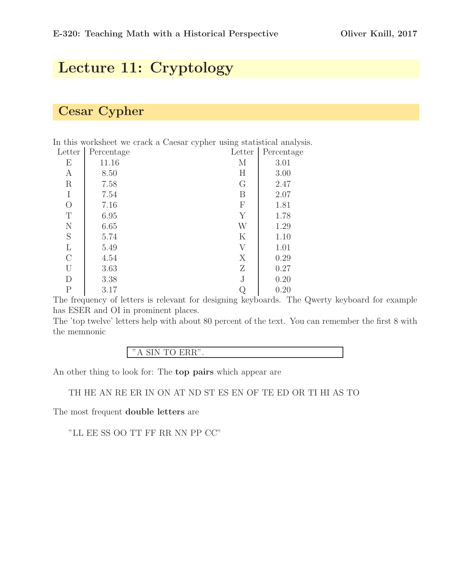## Lecture 11: Cryptology

#### Cesar Cypher

In this worksheet we crack a Caesar cypher using statistical analysis. Letter Percentage Letter Percentage

| <b>IGLICT</b>  | I ercemage | <b>TEPPEI</b> | r ercemag |
|----------------|------------|---------------|-----------|
| Ε              | 11.16      | М             | 3.01      |
| A              | 8.50       | H             | 3.00      |
| $\mathbf R$    | 7.58       | G             | 2.47      |
| I              | 7.54       | B             | 2.07      |
| $\overline{O}$ | 7.16       | ${\bf F}$     | 1.81      |
| $\mathbf T$    | 6.95       | Y             | 1.78      |
| N              | 6.65       | W             | 1.29      |
| S              | 5.74       | $\mathbf K$   | 1.10      |
| L              | 5.49       | V             | 1.01      |
| $\mathcal{C}$  | 4.54       | X             | 0.29      |
| U              | 3.63       | Ζ             | 0.27      |
| D              | 3.38       | J             | 0.20      |
| $\mathbf P$    | 3.17       |               | 0.20      |
|                |            |               |           |

The frequency of letters is relevant for designing keyboards. The Qwerty keyboard for example has ESER and OI in prominent places.

The 'top twelve' letters help with about 80 percent of the text. You can remember the first 8 with the memnonic

| $\mathbf{m}$<br>$\bullet$<br>$\bullet$<br>$-110$<br>. .<br>- -<br>$\sim$ $\sim$ $\sim$ |  |
|----------------------------------------------------------------------------------------|--|
|----------------------------------------------------------------------------------------|--|

An other thing to look for: The top pairs which appear are

TH HE AN RE ER IN ON AT ND ST ES EN OF TE ED OR TI HI AS TO

The most frequent double letters are

"LL EE SS OO TT FF RR NN PP CC"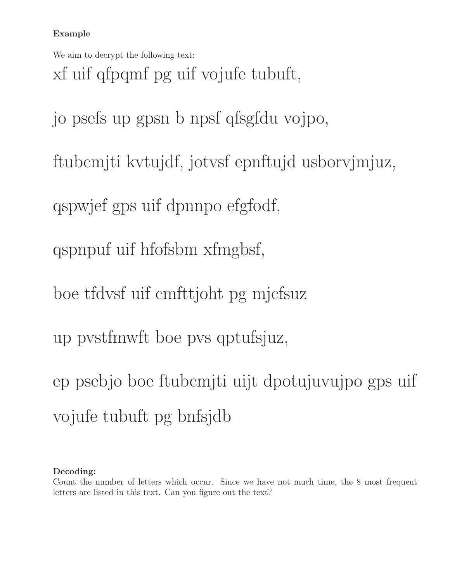#### Example

We aim to decrypt the following text:

xf uif qfpqmf pg uif vojufe tubuft,

jo psefs up gpsn b npsf qfsgfdu vojpo,

ftubcmjti kvtujdf, jotvsf epnftujd usborvjmjuz,

qspwjef gps uif dpnnpo efgfodf,

qspnpuf uif hfofsbm xfmgbsf,

boe tfdvsf uif cmfttjoht pg mjcfsuz

up pvstfmwft boe pvs qptufsjuz,

ep psebjo boe ftubcmjti uijt dpotujuvujpo gps uif vojufe tubuft pg bnfsjdb

#### Decoding:

Count the number of letters which occur. Since we have not much time, the 8 most frequent letters are listed in this text. Can you figure out the text?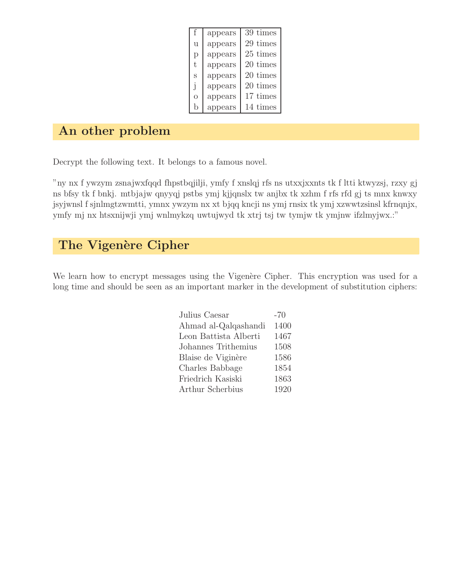| f            | appears | 39 times |
|--------------|---------|----------|
| u            | appears | 29 times |
| р            | appears | 25 times |
| t.           | appears | 20 times |
| S            | appears | 20 times |
| $\mathbf{I}$ | appears | 20 times |
| O            | appears | 17 times |
| h            | appears | 14 times |

## An other problem

Decrypt the following text. It belongs to a famous novel.

"ny nx f ywzym zsnajwxfqqd fhpstbqjilji, ymfy f xnslqj rfs ns utxxjxxnts tk f ltti ktwyzsj, rzxy gj ns bfsy tk f bnkj. mtbjajw qnyyqj pstbs ymj kjjqnslx tw anjbx tk xzhm f rfs rfd gj ts mnx knwxy jsyjwnsl f sjnlmgtzwmtti, ymnx ywzym nx xt bjqq kncji ns ymj rnsix tk ymj xzwwtzsinsl kfrnqnjx, ymfy mj nx htsxnijwji ymj wnlmykzq uwtujwyd tk xtrj tsj tw tymjw tk ymjnw ifzlmyjwx.:"

## The Vigenère Cipher

We learn how to encrypt messages using the Vigenère Cipher. This encryption was used for a long time and should be seen as an important marker in the development of substitution ciphers:

| Julius Caesar         | $-70$ |
|-----------------------|-------|
| Ahmad al-Qalqashandi  | 1400  |
| Leon Battista Alberti | 1467  |
| Johannes Trithemius   | 1508  |
| Blaise de Viginère    | 1586  |
| Charles Babbage       | 1854  |
| Friedrich Kasiski     | 1863  |
| Arthur Scherbius      | 1920  |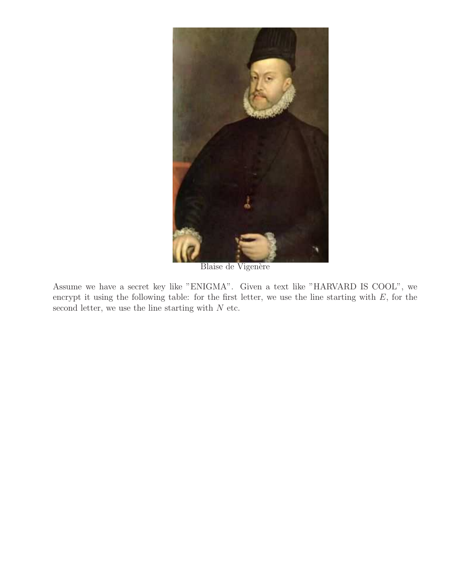

Blaise de Vigenère

Assume we have a secret key like "ENIGMA". Given a text like "HARVARD IS COOL", we encrypt it using the following table: for the first letter, we use the line starting with  $E$ , for the second letter, we use the line starting with  $N$  etc.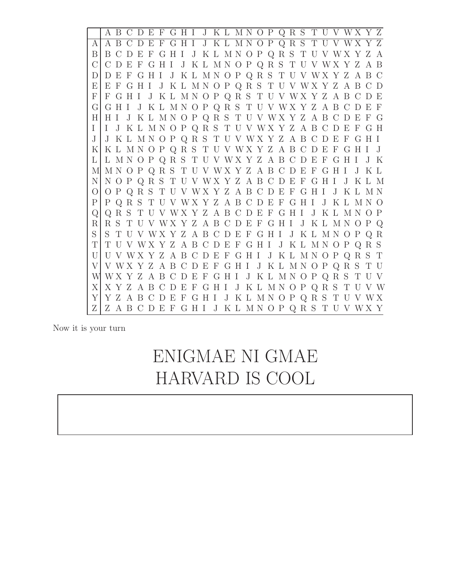A B C D E F G H I J K L M N O P Q R S T U V W X Y Z A A B C D E F G H I J K L M N O P Q R S T U V W X Y Z B B C D E F G H I J K L M N O P Q R S T U V W X Y Z A C C D E F G H I J K L M N O P Q R S T U V W X Y Z A B D D E F G H I J K L M N O P Q R S T U V W X Y Z A B C E E F G H I J K L M N O P Q R S T U V W X Y Z A B C D F F G H I J K L M N O P Q R S T U V W X Y Z A B C D E G G H I J K L M N O P Q R S T U V W X Y Z A B C D E F H H I J K L M N O P Q R S T U V W X Y Z A B C D E F G I I J K L M N O P Q R S T U V W X Y Z A B C D E F G H J J K L M N O P Q R S T U V W X Y Z A B C D E F G H I K K L M N O P Q R S T U V W X Y Z A B C D E F G H I J L L M N O P Q R S T U V W X Y Z A B C D E F G H I J K M M N O P Q R S T U V W X Y Z A B C D E F G H I J K L N N O P Q R S T U V W X Y Z A B C D E F G H I J K L M O O P Q R S T U V W X Y Z A B C D E F G H I J K L M N P P Q R S T U V W X Y Z A B C D E F G H I J K L M N O Q Q R S T U V W X Y Z A B C D E F G H I J K L M N O P R R S T U V W X Y Z A B C D E F G H I J K L M N O P Q S S T U V W X Y Z A B C D E F G H I J K L M N O P Q R T T U V W X Y Z A B C D E F G H I J K L M N O P Q R S U U V W X Y Z A B C D E F G H I J K L M N O P Q R S T V V W X Y Z A B C D E F G H I J K L M N O P Q R S T U W W X Y Z A B C D E F G H I J K L M N O P Q R S T U V X X Y Z A B C D E F G H I J K L M N O P Q R S T U V W Y Y Z A B C D E F G H I J K L M N O P Q R S T U V W X Z Z A B C D E F G H I J K L M N O P Q R S T U V W X Y

Now it is your turn

# ENIGMAE NI GMAE HARVARD IS COOL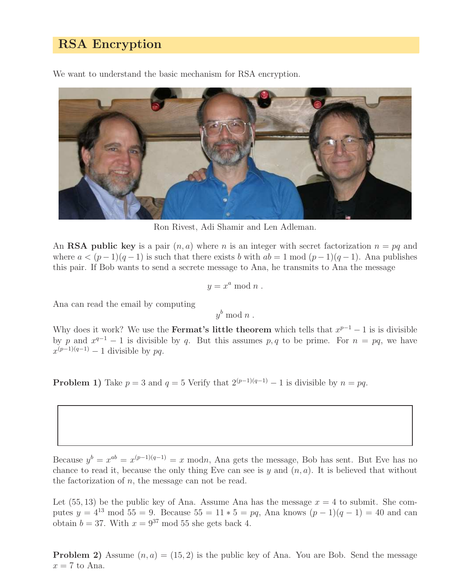#### RSA Encryption

We want to understand the basic mechanism for RSA encryption.



Ron Rivest, Adi Shamir and Len Adleman.

An **RSA** public key is a pair  $(n, a)$  where n is an integer with secret factorization  $n = pq$  and where  $a < (p-1)(q-1)$  is such that there exists b with  $ab = 1 \mod (p-1)(q-1)$ . Ana publishes this pair. If Bob wants to send a secrete message to Ana, he transmits to Ana the message

$$
y = x^a \bmod n .
$$

Ana can read the email by computing

 $y^b \bmod n$ .

Why does it work? We use the **Fermat's little theorem** which tells that  $x^{p-1} - 1$  is is divisible by p and  $x^{q-1} - 1$  is divisible by q. But this assumes p, q to be prime. For  $n = pq$ , we have  $x^{(p-1)(q-1)} - 1$  divisible by pq.

**Problem 1)** Take  $p = 3$  and  $q = 5$  Verify that  $2^{(p-1)(q-1)} - 1$  is divisible by  $n = pq$ .

Because  $y^b = x^{ab} = x^{(p-1)(q-1)} = x \text{ mod } n$ , Ana gets the message, Bob has sent. But Eve has no chance to read it, because the only thing Eve can see is y and  $(n, a)$ . It is believed that without the factorization of  $n$ , the message can not be read.

Let  $(55, 13)$  be the public key of Ana. Assume Ana has the message  $x = 4$  to submit. She computes  $y = 4^{13} \text{ mod } 55 = 9$ . Because  $55 = 11 * 5 = pq$ , Ana knows  $(p-1)(q-1) = 40$  and can obtain  $b = 37$ . With  $x = 9^{37}$  mod 55 she gets back 4.

**Problem 2)** Assume  $(n, a) = (15, 2)$  is the public key of Ana. You are Bob. Send the message  $x = 7$  to Ana.